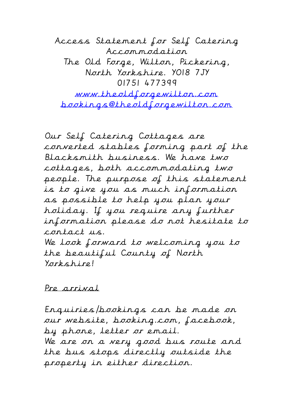Access Statement for Self Catering Accommodation The Old Forge, Wilton, Pickering, North Yorkshire. YO18 7JY 01751 477399 www.theoldforgewilton.com bookings@theoldforgewilton.com

Our Self Catering Cottages are converted stables forming part of the Blacksmith business. We have two cottages, both accommodating two people. The purpose of this statement is to give you as much information as possible to help you plan your holiday. If you require any further information please do not hesitate to contact us. We look forward to welcoming you to the beautiful County of North Yorkshire!

## Pre arrival

Enquiries/bookings can be made on our website, booking.com, facebook, by phone, letter or email. We are on a very good bus route and the bus stops directly outside the property in either direction.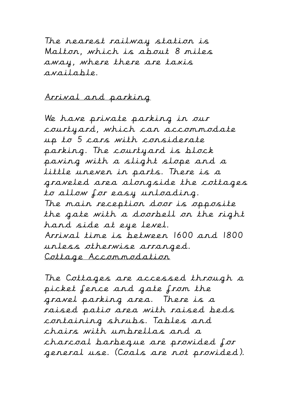The nearest railway station is Malton, which is about 8 miles away, where there are taxis available.

## Arrival and parking

We have private parking in our courtyard, which can accommodate up to 5 cars with considerate parking. The courtyard is block paving with a slight slope and a little uneven in parts. There is a graveled area alongside the cottages to allow for easy unloading. The main reception door is opposite the gate with a doorbell on the right hand side at eye level. Arrival time is between 1600 and 1800 unless otherwise arranged. Cottage Accommodation

The Cottages are accessed through a picket fence and gate from the gravel parking area. There is a raised patio area with raised beds containing shrubs. Tables and chairs with umbrellas and a charcoal barbeque are provided for general use. (Coals are not provided).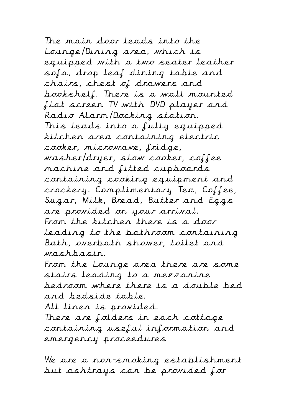The main door leads into the Lounge/Dining area, which is equipped with a two seater leather sofa, drop leaf dining table and chairs, chest of drawers and bookshelf. There is a wall mounted flat screen TV with DVD player and Radio Alarm/Docking station. This leads into a fully equipped kitchen area containing electric cooker, microwave, fridge, washer/dryer, slow cooker, coffee machine and fitted cupboards containing cooking equipment and crockery. Complimentary Tea, Coffee, Sugar, Milk, Bread, Butter and Eggs are provided on your arrival. From the kitchen there is a door leading to the bathroom containing Bath, overbath shower, toilet and washbasin.

From the Lounge area there are some stairs leading to a mezzanine bedroom where there is a double bed and bedside table.

All linen is provided.

There are folders in each cottage containing useful information and emergency proceedures

We are a non-smoking establishment but ashtrays can be provided for